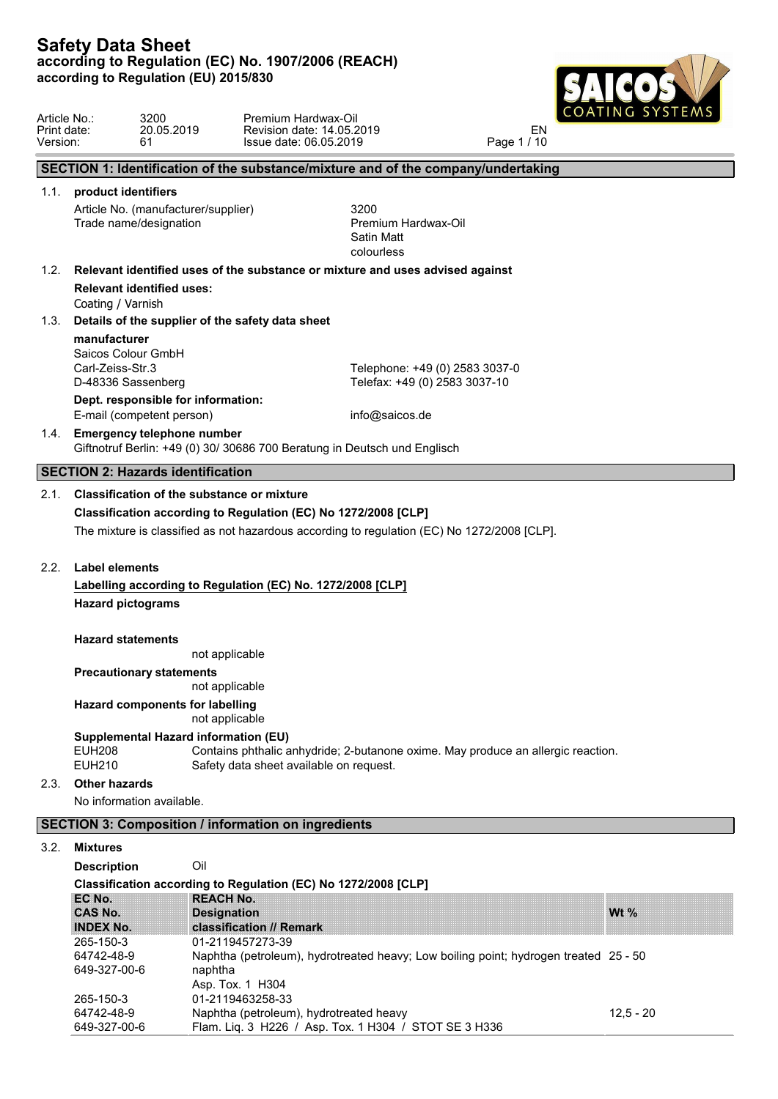649-327-00-6 Flam. Liq. 3 H226 / Asp. Tox. 1 H30



| Article No.:<br>Print date:<br>Version: | 3200<br>61                                                                   | 20.05.2019                                       | Premium Hardwax-Oil<br>Revision date: 14.05.2019<br>Issue date: 06.05.2019                                                  | EN<br>Page 1 / 10 |  |
|-----------------------------------------|------------------------------------------------------------------------------|--------------------------------------------------|-----------------------------------------------------------------------------------------------------------------------------|-------------------|--|
|                                         |                                                                              |                                                  | SECTION 1: Identification of the substance/mixture and of the company/undertaking                                           |                   |  |
|                                         | 1.1. product identifiers                                                     |                                                  |                                                                                                                             |                   |  |
|                                         | Trade name/designation                                                       | Article No. (manufacturer/supplier)              | 3200<br>Premium Hardwax-Oil<br>Satin Matt<br>colourless                                                                     |                   |  |
| 1.2.                                    |                                                                              |                                                  | Relevant identified uses of the substance or mixture and uses advised against                                               |                   |  |
|                                         | <b>Relevant identified uses:</b><br>Coating / Varnish                        |                                                  |                                                                                                                             |                   |  |
| 1.3.                                    |                                                                              | Details of the supplier of the safety data sheet |                                                                                                                             |                   |  |
|                                         | manufacturer<br>Saicos Colour GmbH<br>Carl-Zeiss-Str.3<br>D-48336 Sassenberg |                                                  | Telephone: +49 (0) 2583 3037-0<br>Telefax: +49 (0) 2583 3037-10                                                             |                   |  |
|                                         | E-mail (competent person)                                                    | Dept. responsible for information:               | info@saicos.de                                                                                                              |                   |  |
|                                         | 1.4. Emergency telephone number                                              |                                                  | Giftnotruf Berlin: +49 (0) 30/ 30686 700 Beratung in Deutsch und Englisch                                                   |                   |  |
|                                         | <b>SECTION 2: Hazards identification</b>                                     |                                                  |                                                                                                                             |                   |  |
| 2.1.                                    |                                                                              | Classification of the substance or mixture       |                                                                                                                             |                   |  |
|                                         |                                                                              |                                                  | Classification according to Regulation (EC) No 1272/2008 [CLP]                                                              |                   |  |
|                                         |                                                                              |                                                  | The mixture is classified as not hazardous according to regulation (EC) No 1272/2008 [CLP].                                 |                   |  |
| 2.2.                                    | Label elements                                                               |                                                  |                                                                                                                             |                   |  |
|                                         |                                                                              |                                                  | Labelling according to Regulation (EC) No. 1272/2008 [CLP]                                                                  |                   |  |
|                                         | <b>Hazard pictograms</b>                                                     |                                                  |                                                                                                                             |                   |  |
|                                         | <b>Hazard statements</b>                                                     |                                                  |                                                                                                                             |                   |  |
|                                         |                                                                              | not applicable                                   |                                                                                                                             |                   |  |
|                                         | <b>Precautionary statements</b>                                              | not applicable                                   |                                                                                                                             |                   |  |
|                                         |                                                                              | Hazard components for labelling                  |                                                                                                                             |                   |  |
|                                         |                                                                              | not applicable                                   |                                                                                                                             |                   |  |
|                                         | <b>EUH208</b><br><b>EUH210</b>                                               | <b>Supplemental Hazard information (EU)</b>      | Contains phthalic anhydride; 2-butanone oxime. May produce an allergic reaction.<br>Safety data sheet available on request. |                   |  |
|                                         | 2.3. Other hazards                                                           |                                                  |                                                                                                                             |                   |  |
|                                         | No information available.                                                    |                                                  |                                                                                                                             |                   |  |
|                                         |                                                                              |                                                  | <b>SECTION 3: Composition / information on ingredients</b>                                                                  |                   |  |
| 3.2.                                    | <b>Mixtures</b>                                                              |                                                  |                                                                                                                             |                   |  |
|                                         | <b>Description</b>                                                           | Oil                                              |                                                                                                                             |                   |  |
|                                         |                                                                              |                                                  | Classification according to Regulation (EC) No 1272/2008 [CLP]                                                              |                   |  |
|                                         | EC No.<br><b>CAS No.</b>                                                     | <b>REACH No.</b><br><b>Designation</b>           |                                                                                                                             | Wt $%$            |  |
|                                         | <b>INDEX No.</b>                                                             | classification // Remark<br>01-2119457273-39     |                                                                                                                             |                   |  |
|                                         | 265-150-3<br>64742-48-9<br>649-327-00-6                                      | naphtha<br>Asp. Tox. 1 H304                      | Naphtha (petroleum), hydrotreated heavy; Low boiling point; hydrogen treated 25 - 50                                        |                   |  |
|                                         | 265-150-3                                                                    | 01-2119463258-33                                 |                                                                                                                             |                   |  |
|                                         | 64742-48-9                                                                   |                                                  | Naphtha (petroleum), hydrotreated heavy                                                                                     | $12,5 - 20$       |  |

Flam. Liq. 3 H226 / Asp. Tox. 1 H304 / STOT SE 3 H336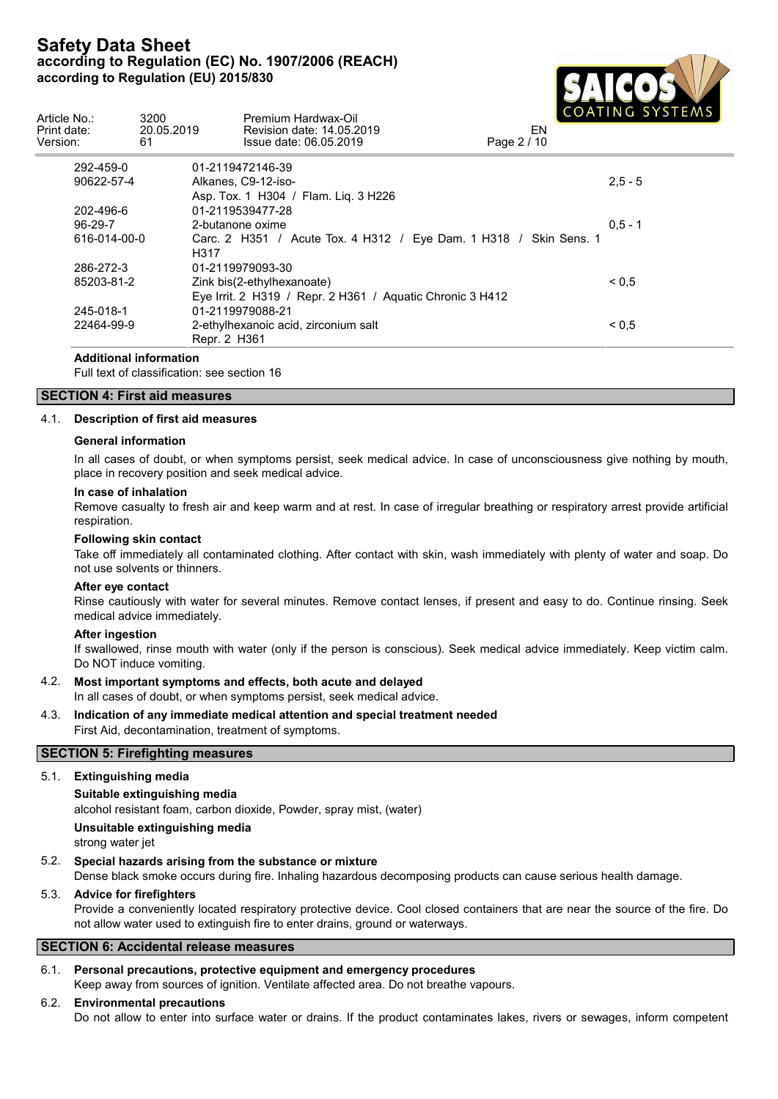

| Article No.:<br>Print date:<br>Version: | 3200<br>20.05.2019<br>61 | Premium Hardwax-Oil<br>Revision date: 14.05.2019<br>Issue date: 06.05.2019 | COMPITION STUTLING<br>EN<br>Page 2 / 10 |
|-----------------------------------------|--------------------------|----------------------------------------------------------------------------|-----------------------------------------|
| 292-459-0                               |                          | 01-2119472146-39                                                           |                                         |
| 90622-57-4                              |                          | Alkanes, C9-12-iso-<br>Asp. Tox. 1 H304 / Flam. Lig. 3 H226                | $2,5 - 5$                               |
| 202-496-6                               |                          | 01-2119539477-28                                                           |                                         |
| $96-29-7$                               |                          | 2-butanone oxime                                                           | $0.5 - 1$                               |
| 616-014-00-0                            |                          | Carc. 2 H351 / Acute Tox. 4 H312 / Eye Dam. 1 H318 / Skin Sens. 1<br>H317  |                                         |
| 286-272-3                               |                          | 01-2119979093-30                                                           |                                         |
| 85203-81-2                              |                          | Zink bis(2-ethylhexanoate)                                                 | ${}_{0.5}$                              |
|                                         |                          | Eye Irrit. 2 H319 / Repr. 2 H361 / Aquatic Chronic 3 H412                  |                                         |
| 245-018-1                               |                          | 01-2119979088-21                                                           |                                         |
| 22464-99-9                              |                          | 2-ethylhexanoic acid, zirconium salt                                       | ${}_{0.5}$                              |
|                                         |                          | Repr. 2 H361                                                               |                                         |

#### **Additional information**

Full text of classification: see section 16

## **SECTION 4: First aid measures**

## 4.1. **Description of first aid measures**

#### **General information**

In all cases of doubt, or when symptoms persist, seek medical advice. In case of unconsciousness give nothing by mouth, place in recovery position and seek medical advice.

#### **In case of inhalation**

Remove casualty to fresh air and keep warm and at rest. In case of irregular breathing or respiratory arrest provide artificial respiration.

#### **Following skin contact**

Take off immediately all contaminated clothing. After contact with skin, wash immediately with plenty of water and soap. Do not use solvents or thinners.

#### **After eye contact**

Rinse cautiously with water for several minutes. Remove contact lenses, if present and easy to do. Continue rinsing. Seek medical advice immediately.

## **After ingestion**

If swallowed, rinse mouth with water (only if the person is conscious). Seek medical advice immediately. Keep victim calm. Do NOT induce vomiting.

## 4.2. **Most important symptoms and effects, both acute and delayed**

In all cases of doubt, or when symptoms persist, seek medical advice.

#### 4.3. **Indication of any immediate medical attention and special treatment needed** First Aid, decontamination, treatment of symptoms.

## **SECTION 5: Firefighting measures**

## 5.1. **Extinguishing media**

## **Suitable extinguishing media**

alcohol resistant foam, carbon dioxide, Powder, spray mist, (water)

## **Unsuitable extinguishing media**

strong water jet

## 5.2. **Special hazards arising from the substance or mixture**

Dense black smoke occurs during fire. Inhaling hazardous decomposing products can cause serious health damage.

## 5.3. **Advice for firefighters**

Provide a conveniently located respiratory protective device. Cool closed containers that are near the source of the fire. Do not allow water used to extinguish fire to enter drains, ground or waterways.

## **SECTION 6: Accidental release measures**

## 6.1. **Personal precautions, protective equipment and emergency procedures**

Keep away from sources of ignition. Ventilate affected area. Do not breathe vapours.

## 6.2. **Environmental precautions**

Do not allow to enter into surface water or drains. If the product contaminates lakes, rivers or sewages, inform competent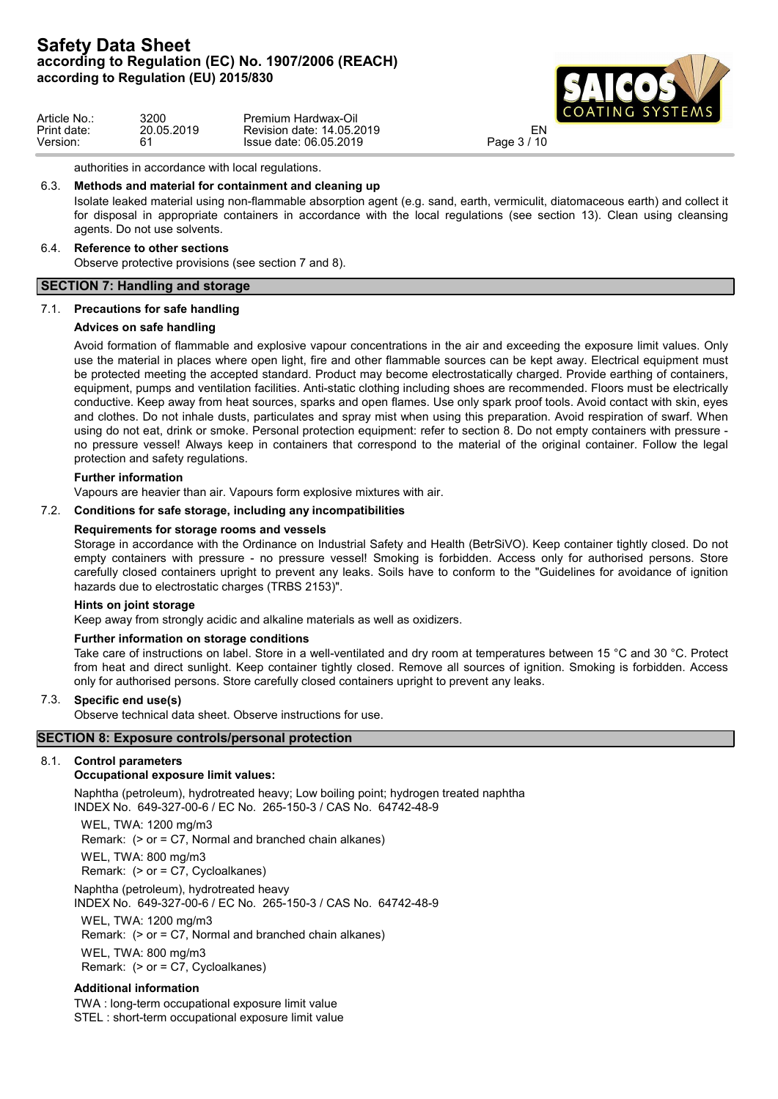

| Article No  | 3200       | Premium Hardwax-Oil       | ICOAING SYSIEMS              |
|-------------|------------|---------------------------|------------------------------|
| Print date: | 20.05.2019 | Revision date: 14.05.2019 |                              |
| Version:    | 61         | Issue date: 06.05.2019    | $^{\circ}$ / 10<br>Page $3/$ |

authorities in accordance with local regulations.

## 6.3. **Methods and material for containment and cleaning up**

Isolate leaked material using non-flammable absorption agent (e.g. sand, earth, vermiculit, diatomaceous earth) and collect it for disposal in appropriate containers in accordance with the local regulations (see section 13). Clean using cleansing agents. Do not use solvents.

## 6.4. **Reference to other sections**

Observe protective provisions (see section 7 and 8).

# **SECTION 7: Handling and storage**

## 7.1. **Precautions for safe handling**

## **Advices on safe handling**

Avoid formation of flammable and explosive vapour concentrations in the air and exceeding the exposure limit values. Only use the material in places where open light, fire and other flammable sources can be kept away. Electrical equipment must be protected meeting the accepted standard. Product may become electrostatically charged. Provide earthing of containers, equipment, pumps and ventilation facilities. Anti-static clothing including shoes are recommended. Floors must be electrically conductive. Keep away from heat sources, sparks and open flames. Use only spark proof tools. Avoid contact with skin, eyes and clothes. Do not inhale dusts, particulates and spray mist when using this preparation. Avoid respiration of swarf. When using do not eat, drink or smoke. Personal protection equipment: refer to section 8. Do not empty containers with pressure no pressure vessel! Always keep in containers that correspond to the material of the original container. Follow the legal protection and safety regulations.

## **Further information**

Vapours are heavier than air. Vapours form explosive mixtures with air.

## 7.2. **Conditions for safe storage, including any incompatibilities**

## **Requirements for storage rooms and vessels**

Storage in accordance with the Ordinance on Industrial Safety and Health (BetrSiVO). Keep container tightly closed. Do not empty containers with pressure - no pressure vessel! Smoking is forbidden. Access only for authorised persons. Store carefully closed containers upright to prevent any leaks. Soils have to conform to the "Guidelines for avoidance of ignition hazards due to electrostatic charges (TRBS 2153)".

## **Hints on joint storage**

Keep away from strongly acidic and alkaline materials as well as oxidizers.

## **Further information on storage conditions**

Take care of instructions on label. Store in a well-ventilated and dry room at temperatures between 15 °C and 30 °C. Protect from heat and direct sunlight. Keep container tightly closed. Remove all sources of ignition. Smoking is forbidden. Access only for authorised persons. Store carefully closed containers upright to prevent any leaks.

## 7.3. **Specific end use(s)**

Observe technical data sheet. Observe instructions for use.

## **SECTION 8: Exposure controls/personal protection**

## 8.1. **Control parameters**

## **Occupational exposure limit values:**

Naphtha (petroleum), hydrotreated heavy; Low boiling point; hydrogen treated naphtha INDEX No. 649-327-00-6 / EC No. 265-150-3 / CAS No. 64742-48-9

WEL, TWA: 1200 mg/m3 Remark: (> or = C7, Normal and branched chain alkanes) WEL, TWA: 800 mg/m3 Remark: (> or = C7, Cycloalkanes) Naphtha (petroleum), hydrotreated heavy INDEX No. 649-327-00-6 / EC No. 265-150-3 / CAS No. 64742-48-9 WEL, TWA: 1200 mg/m3

Remark: (> or = C7, Normal and branched chain alkanes)

WEL, TWA: 800 mg/m3

Remark: (> or = C7, Cycloalkanes)

## **Additional information**

TWA : long-term occupational exposure limit value STEL : short-term occupational exposure limit value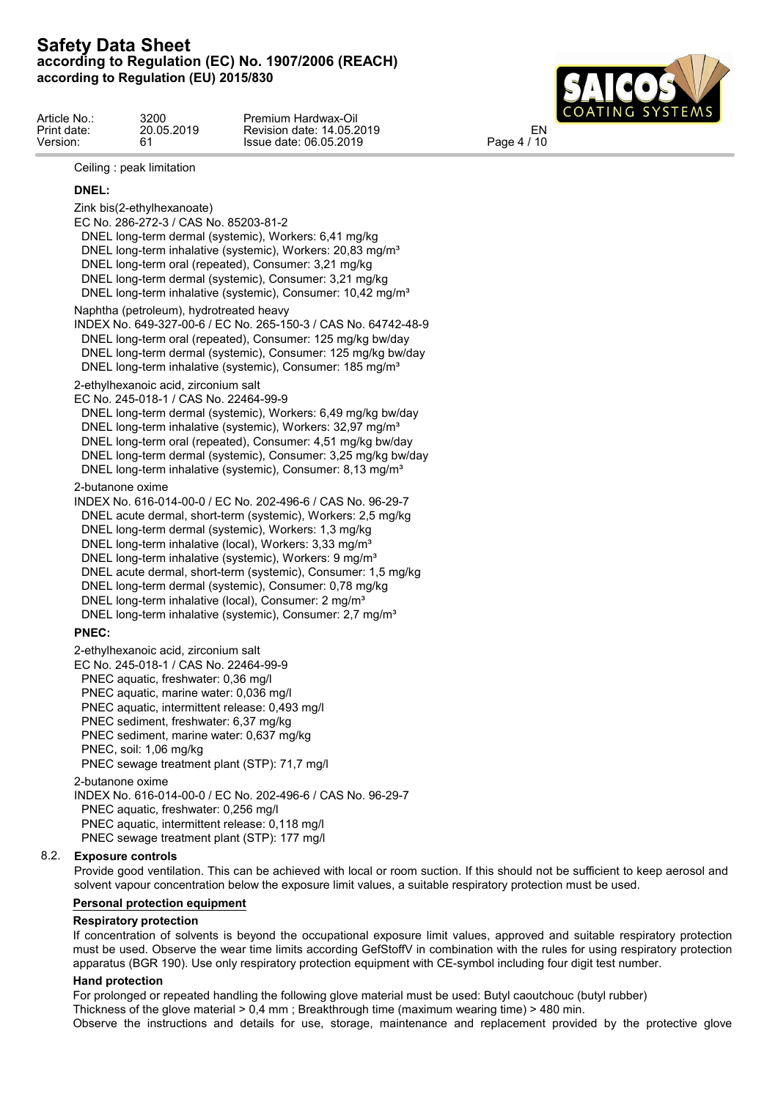

| Article No  | 3200       | Premium Hardwax-Oil       | I COATING SYSTEMS                |  |
|-------------|------------|---------------------------|----------------------------------|--|
| Print date: | 20.05.2019 | Revision date: 14.05.2019 | EΝ                               |  |
| Version:    |            | Issue date: 06.05.2019    | $\sqrt{4}$<br>$P$ age 4 $\prime$ |  |

## Ceiling : peak limitation

## **DNEL:**

Zink bis(2-ethylhexanoate) EC No. 286-272-3 / CAS No. 85203-81-2 DNEL long-term dermal (systemic), Workers: 6,41 mg/kg DNEL long-term inhalative (systemic), Workers: 20,83 mg/m<sup>3</sup> DNEL long-term oral (repeated), Consumer: 3,21 mg/kg DNEL long-term dermal (systemic), Consumer: 3,21 mg/kg DNEL long-term inhalative (systemic), Consumer: 10,42 mg/m<sup>3</sup> Naphtha (petroleum), hydrotreated heavy INDEX No. 649-327-00-6 / EC No. 265-150-3 / CAS No. 64742-48-9 DNEL long-term oral (repeated), Consumer: 125 mg/kg bw/day DNEL long-term dermal (systemic), Consumer: 125 mg/kg bw/day DNEL long-term inhalative (systemic), Consumer: 185 mg/m<sup>3</sup> 2-ethylhexanoic acid, zirconium salt EC No. 245-018-1 / CAS No. 22464-99-9 DNEL long-term dermal (systemic), Workers: 6,49 mg/kg bw/day DNEL long-term inhalative (systemic), Workers: 32,97 mg/m<sup>3</sup> DNEL long-term oral (repeated), Consumer: 4,51 mg/kg bw/day DNEL long-term dermal (systemic), Consumer: 3,25 mg/kg bw/day DNEL long-term inhalative (systemic), Consumer: 8,13 mg/m<sup>3</sup> 2-butanone oxime INDEX No. 616-014-00-0 / EC No. 202-496-6 / CAS No. 96-29-7 DNEL acute dermal, short-term (systemic), Workers: 2,5 mg/kg DNEL long-term dermal (systemic), Workers: 1,3 mg/kg DNEL long-term inhalative (local), Workers: 3,33 mg/m<sup>3</sup> DNEL long-term inhalative (systemic), Workers: 9 mg/m<sup>3</sup> DNEL acute dermal, short-term (systemic), Consumer: 1,5 mg/kg DNEL long-term dermal (systemic), Consumer: 0,78 mg/kg DNEL long-term inhalative (local), Consumer: 2 mg/m<sup>3</sup> DNEL long-term inhalative (systemic), Consumer: 2,7 mg/m<sup>3</sup> **PNEC:** 2-ethylhexanoic acid, zirconium salt EC No. 245-018-1 / CAS No. 22464-99-9 PNEC aquatic, freshwater: 0,36 mg/l PNEC aquatic, marine water: 0,036 mg/l PNEC aquatic, intermittent release: 0,493 mg/l PNEC sediment, freshwater: 6,37 mg/kg PNEC sediment, marine water: 0,637 mg/kg PNEC, soil: 1,06 mg/kg

PNEC sewage treatment plant (STP): 71,7 mg/l

2-butanone oxime

INDEX No. 616-014-00-0 / EC No. 202-496-6 / CAS No. 96-29-7 PNEC aquatic, freshwater: 0,256 mg/l PNEC aquatic, intermittent release: 0,118 mg/l PNEC sewage treatment plant (STP): 177 mg/l

## 8.2. **Exposure controls**

Provide good ventilation. This can be achieved with local or room suction. If this should not be sufficient to keep aerosol and solvent vapour concentration below the exposure limit values, a suitable respiratory protection must be used.

## **Personal protection equipment**

## **Respiratory protection**

If concentration of solvents is beyond the occupational exposure limit values, approved and suitable respiratory protection must be used. Observe the wear time limits according GefStoffV in combination with the rules for using respiratory protection apparatus (BGR 190). Use only respiratory protection equipment with CE-symbol including four digit test number.

## **Hand protection**

For prolonged or repeated handling the following glove material must be used: Butyl caoutchouc (butyl rubber)

Thickness of the glove material > 0,4 mm ; Breakthrough time (maximum wearing time) > 480 min.

Observe the instructions and details for use, storage, maintenance and replacement provided by the protective glove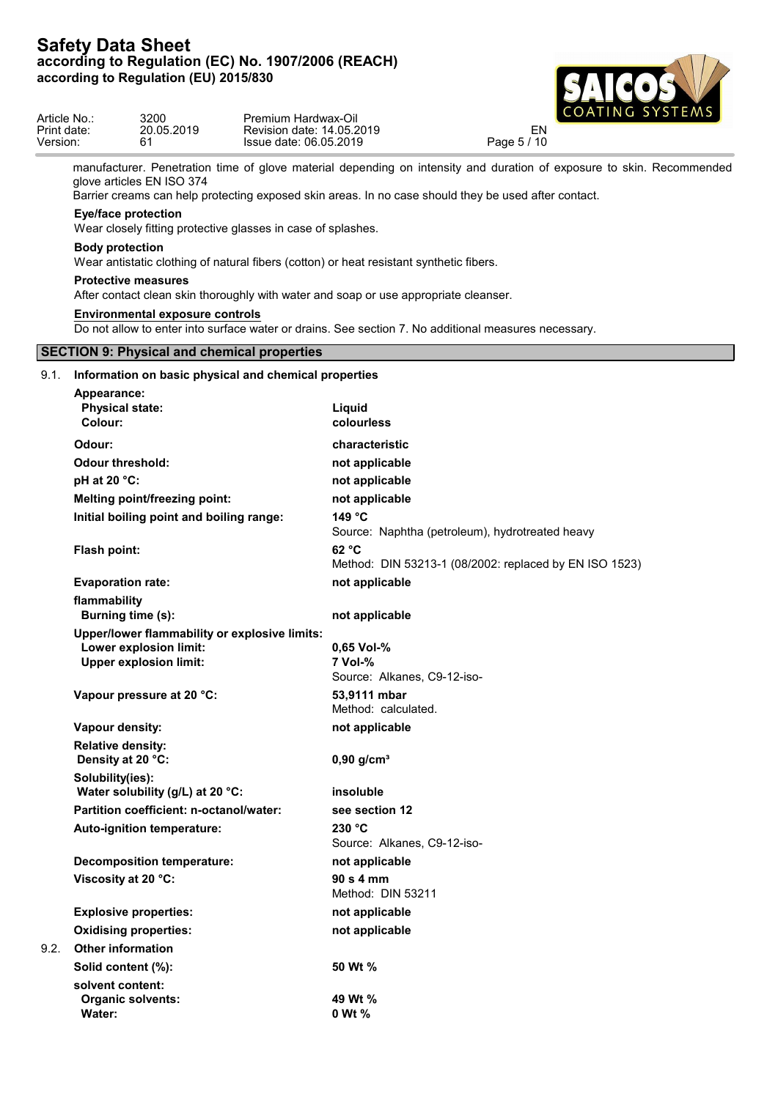

| Version: | Article No.:<br>Print date:                   | 3200<br>20.05.2019<br>61                 | Premium Hardwax-Oil<br>Revision date: 14.05.2019<br>Issue date: 06.05.2019 |                                                                                         | EN<br>Page 5 / 10                                                                                                                                                                                                             | COATING SYSTEMS |
|----------|-----------------------------------------------|------------------------------------------|----------------------------------------------------------------------------|-----------------------------------------------------------------------------------------|-------------------------------------------------------------------------------------------------------------------------------------------------------------------------------------------------------------------------------|-----------------|
|          |                                               | glove articles EN ISO 374                |                                                                            |                                                                                         | manufacturer. Penetration time of glove material depending on intensity and duration of exposure to skin. Recommended<br>Barrier creams can help protecting exposed skin areas. In no case should they be used after contact. |                 |
|          |                                               | <b>Eye/face protection</b>               | Wear closely fitting protective glasses in case of splashes.               |                                                                                         |                                                                                                                                                                                                                               |                 |
|          | <b>Body protection</b>                        |                                          |                                                                            | Wear antistatic clothing of natural fibers (cotton) or heat resistant synthetic fibers. |                                                                                                                                                                                                                               |                 |
|          |                                               | <b>Protective measures</b>               |                                                                            | After contact clean skin thoroughly with water and soap or use appropriate cleanser.    |                                                                                                                                                                                                                               |                 |
|          |                                               | <b>Environmental exposure controls</b>   |                                                                            |                                                                                         | Do not allow to enter into surface water or drains. See section 7. No additional measures necessary.                                                                                                                          |                 |
|          |                                               |                                          | <b>SECTION 9: Physical and chemical properties</b>                         |                                                                                         |                                                                                                                                                                                                                               |                 |
| 9.1.     |                                               |                                          | Information on basic physical and chemical properties                      |                                                                                         |                                                                                                                                                                                                                               |                 |
|          | Appearance:                                   |                                          |                                                                            |                                                                                         |                                                                                                                                                                                                                               |                 |
|          | <b>Physical state:</b>                        |                                          |                                                                            | Liquid                                                                                  |                                                                                                                                                                                                                               |                 |
|          | Colour:                                       |                                          |                                                                            | colourless                                                                              |                                                                                                                                                                                                                               |                 |
|          | Odour:                                        |                                          |                                                                            | characteristic                                                                          |                                                                                                                                                                                                                               |                 |
|          | <b>Odour threshold:</b>                       |                                          |                                                                            | not applicable                                                                          |                                                                                                                                                                                                                               |                 |
|          | pH at 20 °C:                                  |                                          |                                                                            | not applicable                                                                          |                                                                                                                                                                                                                               |                 |
|          |                                               | <b>Melting point/freezing point:</b>     |                                                                            | not applicable                                                                          |                                                                                                                                                                                                                               |                 |
|          |                                               | Initial boiling point and boiling range: |                                                                            | 149 °C                                                                                  | Source: Naphtha (petroleum), hydrotreated heavy                                                                                                                                                                               |                 |
|          | Flash point:                                  |                                          |                                                                            | 62 °C                                                                                   | Method: DIN 53213-1 (08/2002: replaced by EN ISO 1523)                                                                                                                                                                        |                 |
|          | <b>Evaporation rate:</b>                      |                                          |                                                                            | not applicable                                                                          |                                                                                                                                                                                                                               |                 |
|          | flammability                                  | Burning time (s):                        |                                                                            | not applicable                                                                          |                                                                                                                                                                                                                               |                 |
|          |                                               |                                          | Upper/lower flammability or explosive limits:                              |                                                                                         |                                                                                                                                                                                                                               |                 |
|          |                                               | Lower explosion limit:                   |                                                                            | 0,65 Vol-%                                                                              |                                                                                                                                                                                                                               |                 |
|          |                                               | <b>Upper explosion limit:</b>            |                                                                            | 7 Vol-%<br>Source: Alkanes, C9-12-iso-                                                  |                                                                                                                                                                                                                               |                 |
|          |                                               | Vapour pressure at 20 °C:                |                                                                            | 53,9111 mbar<br>Method: calculated.                                                     |                                                                                                                                                                                                                               |                 |
|          | Vapour density:                               |                                          |                                                                            | not applicable                                                                          |                                                                                                                                                                                                                               |                 |
|          | <b>Relative density:</b><br>Density at 20 °C: |                                          |                                                                            | $0,90$ g/cm <sup>3</sup>                                                                |                                                                                                                                                                                                                               |                 |
|          | Solubility(ies):                              | Water solubility (g/L) at 20 °C:         |                                                                            | insoluble                                                                               |                                                                                                                                                                                                                               |                 |
|          |                                               | Partition coefficient: n-octanol/water:  |                                                                            | see section 12                                                                          |                                                                                                                                                                                                                               |                 |
|          |                                               | Auto-ignition temperature:               |                                                                            | 230 °C<br>Source: Alkanes, C9-12-iso-                                                   |                                                                                                                                                                                                                               |                 |
|          |                                               | <b>Decomposition temperature:</b>        |                                                                            | not applicable                                                                          |                                                                                                                                                                                                                               |                 |
|          | Viscosity at 20 °C:                           |                                          |                                                                            | 90 s 4 mm<br>Method: DIN 53211                                                          |                                                                                                                                                                                                                               |                 |
|          |                                               | <b>Explosive properties:</b>             |                                                                            | not applicable                                                                          |                                                                                                                                                                                                                               |                 |
|          |                                               | <b>Oxidising properties:</b>             |                                                                            | not applicable                                                                          |                                                                                                                                                                                                                               |                 |
| 9.2.     | <b>Other information</b>                      |                                          |                                                                            |                                                                                         |                                                                                                                                                                                                                               |                 |
|          | Solid content (%):                            |                                          |                                                                            | 50 Wt %                                                                                 |                                                                                                                                                                                                                               |                 |
|          | solvent content:<br>Water:                    | <b>Organic solvents:</b>                 |                                                                            | 49 Wt %<br>0 Wt %                                                                       |                                                                                                                                                                                                                               |                 |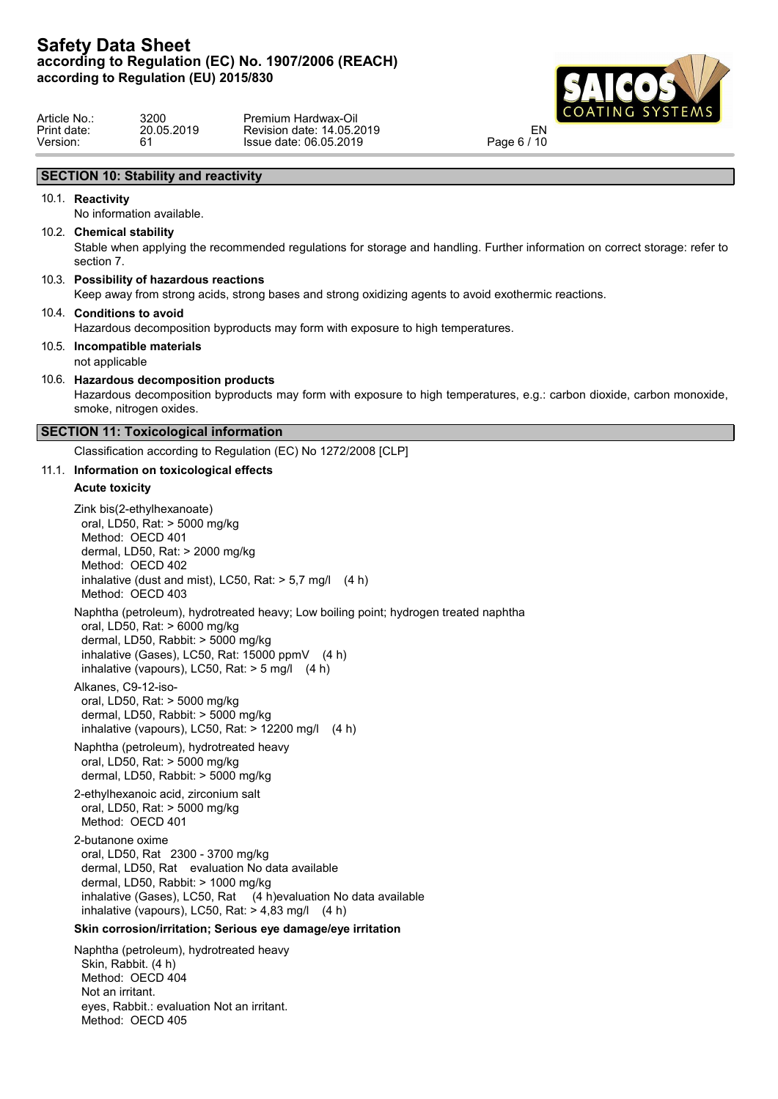

| 3200       | Premium Hardwax-Oil       |             |  |
|------------|---------------------------|-------------|--|
| 20.05.2019 | Revision date: 14.05.2019 | EN          |  |
|            | Issue date: 06.05.2019    | Page 6 / 10 |  |
|            |                           |             |  |

# **SECTION 10: Stability and reactivity**

## 10.1. **Reactivity**

No information available.

## 10.2. **Chemical stability**

Stable when applying the recommended regulations for storage and handling. Further information on correct storage: refer to section 7.

## 10.3. **Possibility of hazardous reactions**

Keep away from strong acids, strong bases and strong oxidizing agents to avoid exothermic reactions.

#### 10.4. **Conditions to avoid**

Hazardous decomposition byproducts may form with exposure to high temperatures.

10.5. **Incompatible materials** not applicable

#### 10.6. **Hazardous decomposition products**

Hazardous decomposition byproducts may form with exposure to high temperatures, e.g.: carbon dioxide, carbon monoxide, smoke, nitrogen oxides.

#### **SECTION 11: Toxicological information**

Classification according to Regulation (EC) No 1272/2008 [CLP]

## 11.1. **Information on toxicological effects**

#### **Acute toxicity**

Zink bis(2-ethylhexanoate) oral, LD50, Rat: > 5000 mg/kg Method: OECD 401 dermal, LD50, Rat: > 2000 mg/kg Method: OECD 402 inhalative (dust and mist), LC50, Rat:  $> 5.7$  mg/l (4 h) Method: OECD 403

Naphtha (petroleum), hydrotreated heavy; Low boiling point; hydrogen treated naphtha

oral, LD50, Rat: > 6000 mg/kg dermal, LD50, Rabbit: > 5000 mg/kg inhalative (Gases), LC50, Rat: 15000 ppmV (4 h) inhalative (vapours), LC50, Rat:  $>$  5 mg/l (4 h)

Alkanes, C9-12-isooral, LD50, Rat: > 5000 mg/kg dermal, LD50, Rabbit: > 5000 mg/kg inhalative (vapours), LC50, Rat: > 12200 mg/l (4 h)

Naphtha (petroleum), hydrotreated heavy oral, LD50, Rat: > 5000 mg/kg dermal, LD50, Rabbit: > 5000 mg/kg

2-ethylhexanoic acid, zirconium salt oral, LD50, Rat: > 5000 mg/kg Method: OECD 401

2-butanone oxime oral, LD50, Rat 2300 - 3700 mg/kg dermal, LD50, Rat evaluation No data available dermal, LD50, Rabbit: > 1000 mg/kg inhalative (Gases), LC50, Rat (4 h)evaluation No data available inhalative (vapours), LC50, Rat:  $> 4,83$  mg/l (4 h)

## **Skin corrosion/irritation; Serious eye damage/eye irritation**

Naphtha (petroleum), hydrotreated heavy Skin, Rabbit. (4 h) Method: OECD 404 Not an irritant. eyes, Rabbit.: evaluation Not an irritant. Method: OECD 405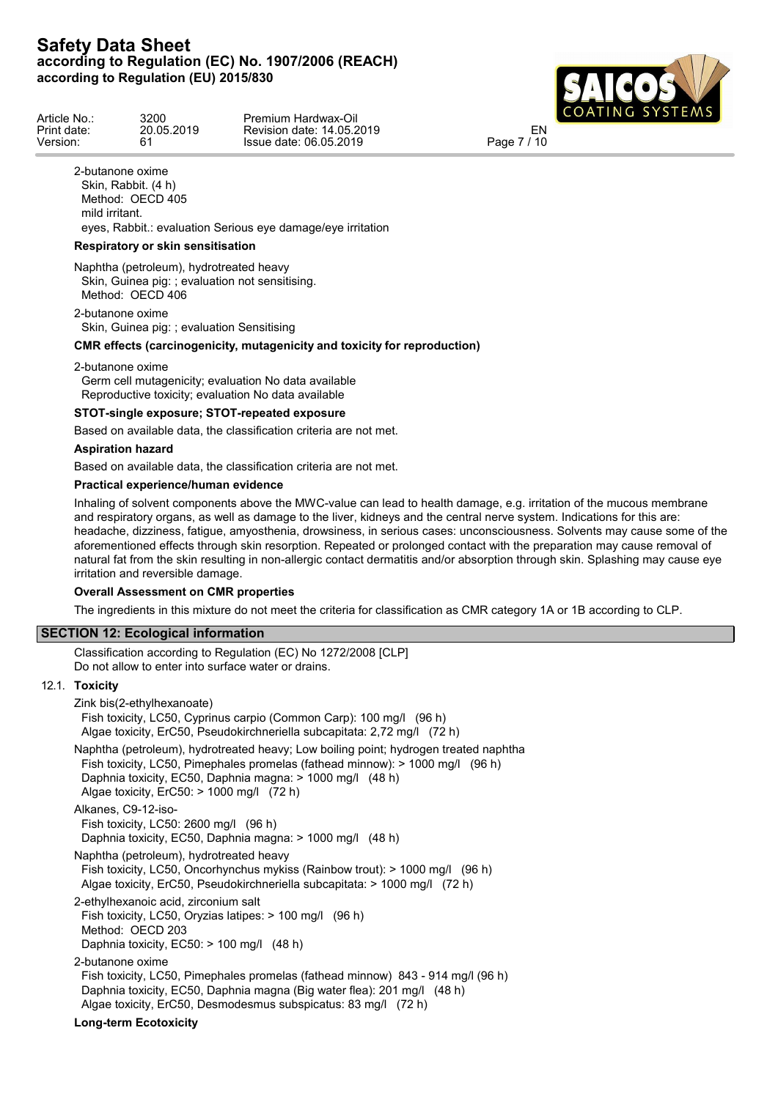

| Article No  | 3200       | Premium Hardwax-Oil       | L CUATINU SISIEMS |  |
|-------------|------------|---------------------------|-------------------|--|
| Print date: | 20.05.2019 | Revision date: 14.05.2019 | E٨                |  |
| Version:    |            | Issue date: 06.05.2019    | 1.4C<br>Page      |  |

2-butanone oxime Skin, Rabbit. (4 h) Method: OECD 405 mild irritant.

eyes, Rabbit.: evaluation Serious eye damage/eye irritation

## **Respiratory or skin sensitisation**

Naphtha (petroleum), hydrotreated heavy Skin, Guinea pig: ; evaluation not sensitising. Method: OECD 406

2-butanone oxime Skin, Guinea pig: ; evaluation Sensitising

# **CMR effects (carcinogenicity, mutagenicity and toxicity for reproduction)**

#### 2-butanone oxime

Germ cell mutagenicity; evaluation No data available Reproductive toxicity; evaluation No data available

## **STOT-single exposure; STOT-repeated exposure**

Based on available data, the classification criteria are not met.

#### **Aspiration hazard**

Based on available data, the classification criteria are not met.

## **Practical experience/human evidence**

Inhaling of solvent components above the MWC-value can lead to health damage, e.g. irritation of the mucous membrane and respiratory organs, as well as damage to the liver, kidneys and the central nerve system. Indications for this are: headache, dizziness, fatigue, amyosthenia, drowsiness, in serious cases: unconsciousness. Solvents may cause some of the aforementioned effects through skin resorption. Repeated or prolonged contact with the preparation may cause removal of natural fat from the skin resulting in non-allergic contact dermatitis and/or absorption through skin. Splashing may cause eye irritation and reversible damage.

## **Overall Assessment on CMR properties**

The ingredients in this mixture do not meet the criteria for classification as CMR category 1A or 1B according to CLP.

## **SECTION 12: Ecological information**

Classification according to Regulation (EC) No 1272/2008 [CLP] Do not allow to enter into surface water or drains.

# 12.1. **Toxicity**

| Zink bis(2-ethylhexanoate)<br>Fish toxicity, LC50, Cyprinus carpio (Common Carp): 100 mg/l (96 h)<br>Algae toxicity, ErC50, Pseudokirchneriella subcapitata: 2,72 mg/l (72 h)                                                                                                         |
|---------------------------------------------------------------------------------------------------------------------------------------------------------------------------------------------------------------------------------------------------------------------------------------|
| Naphtha (petroleum), hydrotreated heavy; Low boiling point; hydrogen treated naphtha<br>Fish toxicity, LC50, Pimephales promelas (fathead minnow): > 1000 mg/l (96 h)<br>Daphnia toxicity, EC50, Daphnia magna: > 1000 mg/l (48 h)<br>Algae toxicity, $E rC50$ : $> 1000$ mg/l (72 h) |
| Alkanes, C9-12-iso-<br>Fish toxicity, LC50: $2600 \text{ mg/l}$ (96 h)<br>Daphnia toxicity, EC50, Daphnia magna: > 1000 mg/l (48 h)                                                                                                                                                   |
| Naphtha (petroleum), hydrotreated heavy<br>Fish toxicity, LC50, Oncorhynchus mykiss (Rainbow trout): $> 1000$ mg/l (96 h)<br>Algae toxicity, ErC50, Pseudokirchneriella subcapitata: > 1000 mg/l (72 h)                                                                               |
| 2-ethylhexanoic acid, zirconium salt<br>Fish toxicity, LC50, Oryzias latipes: $> 100$ mg/l (96 h)<br>Method: OECD 203<br>Daphnia toxicity, $EC50:$ > 100 mg/l (48 h)                                                                                                                  |
| 2-butanone oxime<br>Fish toxicity, LC50, Pimephales promelas (fathead minnow) 843 - 914 mg/l (96 h)<br>Daphnia toxicity, EC50, Daphnia magna (Big water flea): 201 mg/l (48 h)<br>Algae toxicity, ErC50, Desmodesmus subspicatus: 83 mg/l (72 h)                                      |
| Long-term Ecotoxicity                                                                                                                                                                                                                                                                 |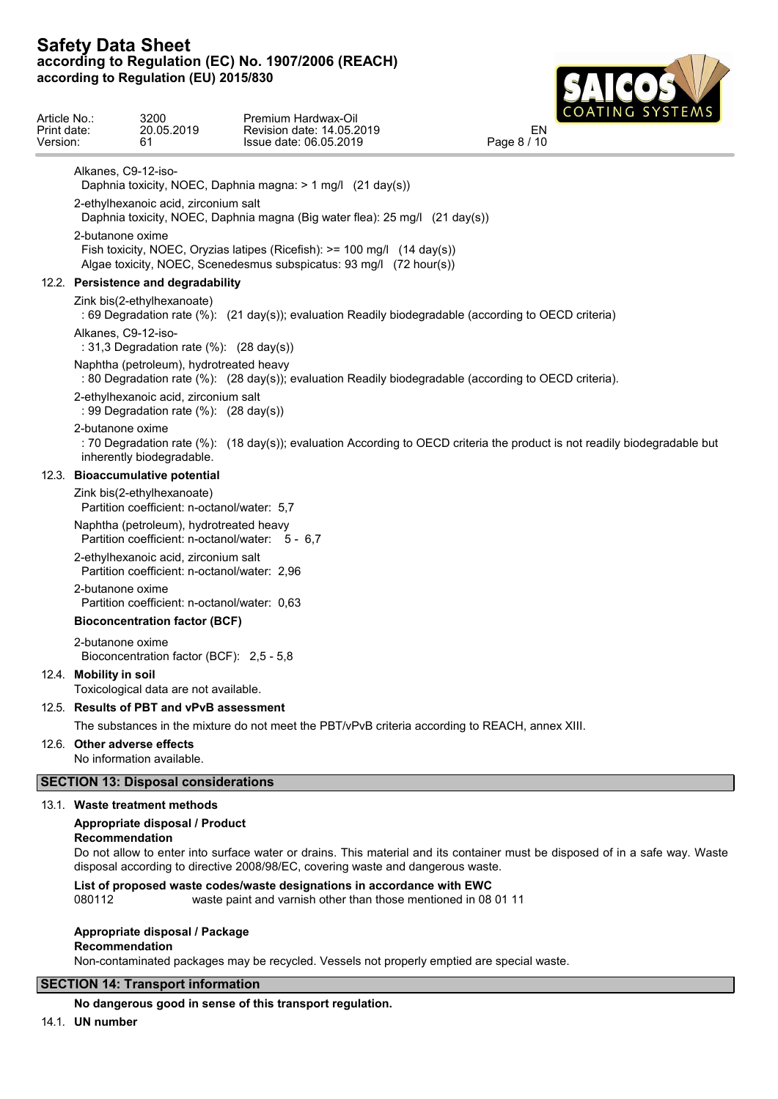

| Article No.:<br>Print date:<br>Version: |                        | 3200<br>20.05.2019<br>61                                                                     | Premium Hardwax-Oil<br>Revision date: 14.05.2019<br>Issue date: 06.05.2019                                                                      | COATING SYSTEMS<br>EN<br>Page 8 / 10                                                                                         |
|-----------------------------------------|------------------------|----------------------------------------------------------------------------------------------|-------------------------------------------------------------------------------------------------------------------------------------------------|------------------------------------------------------------------------------------------------------------------------------|
|                                         |                        | Alkanes, C9-12-iso-                                                                          |                                                                                                                                                 |                                                                                                                              |
|                                         |                        |                                                                                              | Daphnia toxicity, NOEC, Daphnia magna: > 1 mg/l (21 day(s))                                                                                     |                                                                                                                              |
|                                         |                        | 2-ethylhexanoic acid, zirconium salt                                                         | Daphnia toxicity, NOEC, Daphnia magna (Big water flea): 25 mg/l (21 day(s))                                                                     |                                                                                                                              |
|                                         |                        | 2-butanone oxime                                                                             |                                                                                                                                                 |                                                                                                                              |
|                                         |                        |                                                                                              | Fish toxicity, NOEC, Oryzias latipes (Ricefish): >= 100 mg/l (14 day(s))<br>Algae toxicity, NOEC, Scenedesmus subspicatus: 93 mg/l (72 hour(s)) |                                                                                                                              |
|                                         |                        | 12.2. Persistence and degradability                                                          |                                                                                                                                                 |                                                                                                                              |
|                                         |                        | Zink bis(2-ethylhexanoate)                                                                   | : 69 Degradation rate (%): (21 day(s)); evaluation Readily biodegradable (according to OECD criteria)                                           |                                                                                                                              |
|                                         |                        | Alkanes, C9-12-iso-<br>: 31,3 Degradation rate $(\%)$ : (28 day(s))                          |                                                                                                                                                 |                                                                                                                              |
|                                         |                        | Naphtha (petroleum), hydrotreated heavy                                                      | : 80 Degradation rate (%): (28 day(s)); evaluation Readily biodegradable (according to OECD criteria).                                          |                                                                                                                              |
|                                         |                        | 2-ethylhexanoic acid, zirconium salt<br>: 99 Degradation rate $(\%)$ : $(28 \text{ day}(s))$ |                                                                                                                                                 |                                                                                                                              |
|                                         |                        | 2-butanone oxime<br>inherently biodegradable.                                                |                                                                                                                                                 | : 70 Degradation rate (%): (18 day(s)); evaluation According to OECD criteria the product is not readily biodegradable but   |
|                                         |                        | 12.3. Bioaccumulative potential                                                              |                                                                                                                                                 |                                                                                                                              |
|                                         |                        | Zink bis(2-ethylhexanoate)<br>Partition coefficient: n-octanol/water: 5,7                    |                                                                                                                                                 |                                                                                                                              |
|                                         |                        | Naphtha (petroleum), hydrotreated heavy<br>Partition coefficient: n-octanol/water: 5 - 6,7   |                                                                                                                                                 |                                                                                                                              |
|                                         |                        | 2-ethylhexanoic acid, zirconium salt<br>Partition coefficient: n-octanol/water: 2,96         |                                                                                                                                                 |                                                                                                                              |
|                                         |                        | 2-butanone oxime<br>Partition coefficient: n-octanol/water: 0.63                             |                                                                                                                                                 |                                                                                                                              |
|                                         |                        | <b>Bioconcentration factor (BCF)</b>                                                         |                                                                                                                                                 |                                                                                                                              |
|                                         |                        | 2-butanone oxime<br>Bioconcentration factor (BCF): 2,5 - 5,8                                 |                                                                                                                                                 |                                                                                                                              |
|                                         | 12.4. Mobility in soil | Toxicological data are not available.                                                        |                                                                                                                                                 |                                                                                                                              |
|                                         |                        | 12.5. Results of PBT and vPvB assessment                                                     |                                                                                                                                                 |                                                                                                                              |
|                                         |                        |                                                                                              | The substances in the mixture do not meet the PBT/vPvB criteria according to REACH, annex XIII.                                                 |                                                                                                                              |
|                                         |                        | 12.6. Other adverse effects<br>No information available.                                     |                                                                                                                                                 |                                                                                                                              |
|                                         |                        | <b>SECTION 13: Disposal considerations</b>                                                   |                                                                                                                                                 |                                                                                                                              |
|                                         |                        | 13.1. Waste treatment methods                                                                |                                                                                                                                                 |                                                                                                                              |
|                                         |                        | Appropriate disposal / Product<br>Recommendation                                             |                                                                                                                                                 |                                                                                                                              |
|                                         |                        |                                                                                              | disposal according to directive 2008/98/EC, covering waste and dangerous waste.                                                                 | Do not allow to enter into surface water or drains. This material and its container must be disposed of in a safe way. Waste |
|                                         | 080112                 |                                                                                              | List of proposed waste codes/waste designations in accordance with EWC<br>waste paint and varnish other than those mentioned in 08 01 11        |                                                                                                                              |
|                                         |                        | Appropriate disposal / Package                                                               |                                                                                                                                                 |                                                                                                                              |

**Recommendation**

Non-contaminated packages may be recycled. Vessels not properly emptied are special waste.

# **SECTION 14: Transport information**

# **No dangerous good in sense of this transport regulation.**

14.1. **UN number**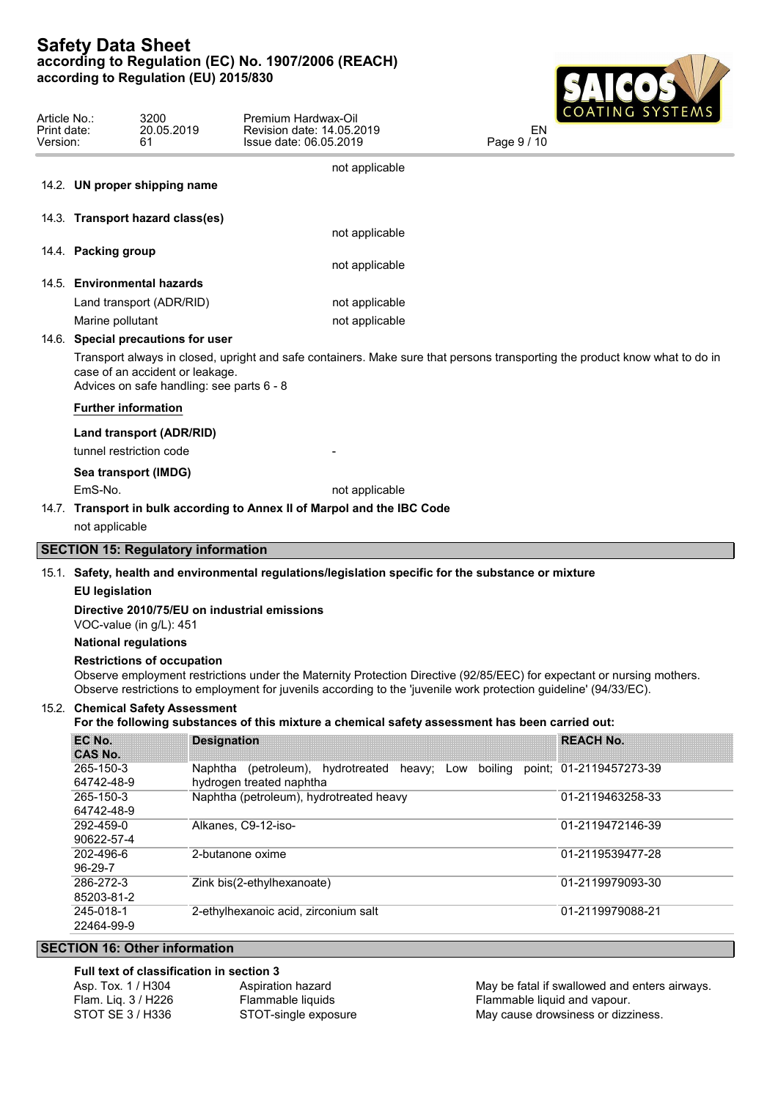

| Article No.:<br>Print date:<br>Version: |                         | 3200<br>20.05.2019<br>61                                                     | Premium Hardwax-Oil<br>Revision date: 14.05.2019<br>Issue date: 06.05.2019                                                                                                                                                                  | COULLIA O DI DI LIMO<br>EN<br>Page 9 / 10 |                  |  |
|-----------------------------------------|-------------------------|------------------------------------------------------------------------------|---------------------------------------------------------------------------------------------------------------------------------------------------------------------------------------------------------------------------------------------|-------------------------------------------|------------------|--|
|                                         |                         |                                                                              | not applicable                                                                                                                                                                                                                              |                                           |                  |  |
|                                         |                         | 14.2. UN proper shipping name                                                |                                                                                                                                                                                                                                             |                                           |                  |  |
|                                         |                         | 14.3. Transport hazard class(es)                                             |                                                                                                                                                                                                                                             |                                           |                  |  |
|                                         |                         |                                                                              | not applicable                                                                                                                                                                                                                              |                                           |                  |  |
|                                         | 14.4. Packing group     |                                                                              | not applicable                                                                                                                                                                                                                              |                                           |                  |  |
|                                         |                         | 14.5. Environmental hazards                                                  |                                                                                                                                                                                                                                             |                                           |                  |  |
|                                         |                         | Land transport (ADR/RID)                                                     | not applicable                                                                                                                                                                                                                              |                                           |                  |  |
|                                         |                         |                                                                              |                                                                                                                                                                                                                                             |                                           |                  |  |
|                                         | Marine pollutant        |                                                                              | not applicable                                                                                                                                                                                                                              |                                           |                  |  |
|                                         |                         | 14.6. Special precautions for user                                           |                                                                                                                                                                                                                                             |                                           |                  |  |
|                                         |                         | case of an accident or leakage.<br>Advices on safe handling: see parts 6 - 8 | Transport always in closed, upright and safe containers. Make sure that persons transporting the product know what to do in                                                                                                                 |                                           |                  |  |
|                                         |                         | <b>Further information</b>                                                   |                                                                                                                                                                                                                                             |                                           |                  |  |
|                                         |                         | Land transport (ADR/RID)                                                     |                                                                                                                                                                                                                                             |                                           |                  |  |
|                                         |                         | tunnel restriction code                                                      |                                                                                                                                                                                                                                             |                                           |                  |  |
|                                         |                         | Sea transport (IMDG)                                                         |                                                                                                                                                                                                                                             |                                           |                  |  |
|                                         | EmS-No.                 |                                                                              | not applicable                                                                                                                                                                                                                              |                                           |                  |  |
|                                         |                         |                                                                              | 14.7. Transport in bulk according to Annex II of Marpol and the IBC Code                                                                                                                                                                    |                                           |                  |  |
|                                         |                         |                                                                              |                                                                                                                                                                                                                                             |                                           |                  |  |
|                                         | not applicable          |                                                                              |                                                                                                                                                                                                                                             |                                           |                  |  |
|                                         |                         | <b>SECTION 15: Regulatory information</b>                                    |                                                                                                                                                                                                                                             |                                           |                  |  |
|                                         |                         |                                                                              | 15.1. Safety, health and environmental regulations/legislation specific for the substance or mixture                                                                                                                                        |                                           |                  |  |
|                                         | <b>EU</b> legislation   |                                                                              |                                                                                                                                                                                                                                             |                                           |                  |  |
|                                         |                         | VOC-value (in g/L): 451                                                      | Directive 2010/75/EU on industrial emissions                                                                                                                                                                                                |                                           |                  |  |
|                                         |                         | <b>National regulations</b>                                                  |                                                                                                                                                                                                                                             |                                           |                  |  |
|                                         |                         | <b>Restrictions of occupation</b>                                            |                                                                                                                                                                                                                                             |                                           |                  |  |
|                                         |                         |                                                                              | Observe employment restrictions under the Maternity Protection Directive (92/85/EEC) for expectant or nursing mothers.<br>Observe restrictions to employment for juvenils according to the 'juvenile work protection guideline' (94/33/EC). |                                           |                  |  |
|                                         |                         | 15.2. Chemical Safety Assessment                                             |                                                                                                                                                                                                                                             |                                           |                  |  |
|                                         |                         |                                                                              | For the following substances of this mixture a chemical safety assessment has been carried out:                                                                                                                                             |                                           |                  |  |
|                                         | EC No.                  |                                                                              | <b>Designation</b>                                                                                                                                                                                                                          |                                           | <b>REACH No.</b> |  |
|                                         | <b>CAS No.</b>          |                                                                              |                                                                                                                                                                                                                                             |                                           |                  |  |
|                                         | 265-150-3               |                                                                              | Naphtha (petroleum), hydrotreated heavy; Low                                                                                                                                                                                                | boiling point; 01-2119457273-39           |                  |  |
|                                         | 64742-48-9<br>265-150-3 |                                                                              | hydrogen treated naphtha<br>Naphtha (petroleum), hydrotreated heavy                                                                                                                                                                         |                                           | 01-2119463258-33 |  |
|                                         | 64742-48-9              |                                                                              |                                                                                                                                                                                                                                             |                                           |                  |  |
|                                         | 292-459-0               |                                                                              | Alkanes, C9-12-iso-                                                                                                                                                                                                                         |                                           | 01-2119472146-39 |  |
|                                         | 90622-57-4              |                                                                              |                                                                                                                                                                                                                                             |                                           |                  |  |
|                                         | 202-496-6               |                                                                              | 2-butanone oxime                                                                                                                                                                                                                            |                                           | 01-2119539477-28 |  |
|                                         | 96-29-7<br>286-272-3    |                                                                              | Zink bis(2-ethylhexanoate)                                                                                                                                                                                                                  |                                           | 01-2119979093-30 |  |
|                                         | 85203-81-2              |                                                                              |                                                                                                                                                                                                                                             |                                           |                  |  |
|                                         | 245-018-1               |                                                                              | 2-ethylhexanoic acid, zirconium salt                                                                                                                                                                                                        |                                           | 01-2119979088-21 |  |
|                                         | 22464-99-9              |                                                                              |                                                                                                                                                                                                                                             |                                           |                  |  |
|                                         |                         | <b>SECTION 16: Other information</b>                                         |                                                                                                                                                                                                                                             |                                           |                  |  |
|                                         |                         |                                                                              |                                                                                                                                                                                                                                             |                                           |                  |  |

## **Full text of classification in section 3**

| Asp. Tox. 1 / H304  | Aspiration hazard    |
|---------------------|----------------------|
| Flam. Lig. 3 / H226 | Flammable liquids    |
| STOT SE 3 / H336    | STOT-single exposure |

May be fatal if swallowed and enters airways. Flammable liquid and vapour. May cause drowsiness or dizziness.